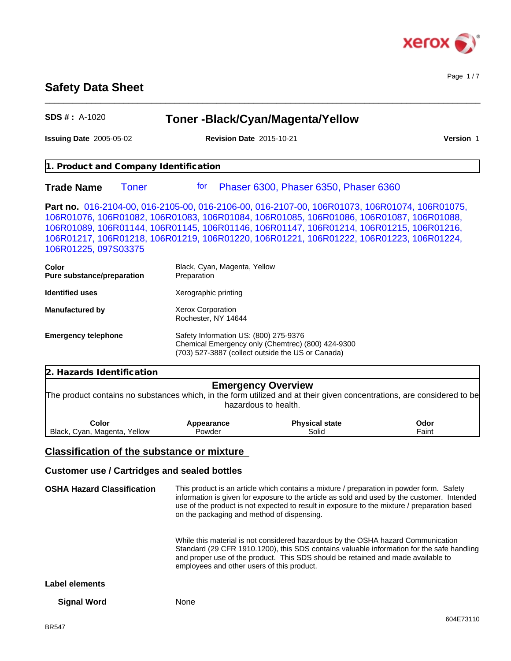

# **Safety Data Sheet**

Page 1 / 7

| $SDS #: A-1020$                       | <b>Toner-Black/Cyan/Magenta/Yellow</b>                                                                                                                                                                                                                                                                                                                                         |                                                                                                                                                                                                                                                                                        |               |
|---------------------------------------|--------------------------------------------------------------------------------------------------------------------------------------------------------------------------------------------------------------------------------------------------------------------------------------------------------------------------------------------------------------------------------|----------------------------------------------------------------------------------------------------------------------------------------------------------------------------------------------------------------------------------------------------------------------------------------|---------------|
| Issuing Date 2005-05-02               | <b>Revision Date 2015-10-21</b>                                                                                                                                                                                                                                                                                                                                                |                                                                                                                                                                                                                                                                                        | Version 1     |
| 1. Product and Company Identification |                                                                                                                                                                                                                                                                                                                                                                                |                                                                                                                                                                                                                                                                                        |               |
| <b>Trade Name</b>                     | <b>Toner</b><br>for                                                                                                                                                                                                                                                                                                                                                            | Phaser 6300, Phaser 6350, Phaser 6360                                                                                                                                                                                                                                                  |               |
| 106R01225, 097S03375                  | Part no. 016-2104-00, 016-2105-00, 016-2106-00, 016-2107-00, 106R01073, 106R01074, 106R01075,<br>106R01076, 106R01082, 106R01083, 106R01084, 106R01085, 106R01086, 106R01087, 106R01088,<br>106R01089, 106R01144, 106R01145, 106R01146, 106R01147, 106R01214, 106R01215, 106R01216,<br>106R01217, 106R01218, 106R01219, 106R01220, 106R01221, 106R01222, 106R01223, 106R01224, |                                                                                                                                                                                                                                                                                        |               |
| Color<br>Pure substance/preparation   | Black, Cyan, Magenta, Yellow<br>Preparation                                                                                                                                                                                                                                                                                                                                    |                                                                                                                                                                                                                                                                                        |               |
| <b>Identified uses</b>                | Xerographic printing                                                                                                                                                                                                                                                                                                                                                           |                                                                                                                                                                                                                                                                                        |               |
| Manufactured by                       | <b>Xerox Corporation</b><br>Rochester, NY 14644                                                                                                                                                                                                                                                                                                                                |                                                                                                                                                                                                                                                                                        |               |
| <b>Emergency telephone</b>            | Safety Information US: (800) 275-9376<br>Chemical Emergency only (Chemtrec) (800) 424-9300<br>(703) 527-3887 (collect outside the US or Canada)                                                                                                                                                                                                                                |                                                                                                                                                                                                                                                                                        |               |
| 2. Hazards Identification             |                                                                                                                                                                                                                                                                                                                                                                                |                                                                                                                                                                                                                                                                                        |               |
|                                       | <b>Emergency Overview</b><br>The product contains no substances which, in the form utilized and at their given concentrations, are considered to be<br>hazardous to health.                                                                                                                                                                                                    |                                                                                                                                                                                                                                                                                        |               |
| Color<br>Black, Cyan, Magenta, Yellow | Appearance<br>Powder                                                                                                                                                                                                                                                                                                                                                           | <b>Physical state</b><br>Solid                                                                                                                                                                                                                                                         | Odor<br>Faint |
|                                       | <b>Classification of the substance or mixture</b>                                                                                                                                                                                                                                                                                                                              |                                                                                                                                                                                                                                                                                        |               |
|                                       | <b>Customer use / Cartridges and sealed bottles</b>                                                                                                                                                                                                                                                                                                                            |                                                                                                                                                                                                                                                                                        |               |
| <b>OSHA Hazard Classification</b>     | on the packaging and method of dispensing.                                                                                                                                                                                                                                                                                                                                     | This product is an article which contains a mixture / preparation in powder form. Safety<br>information is given for exposure to the article as sold and used by the customer. Intended<br>use of the product is not expected to result in exposure to the mixture / preparation based |               |
|                                       | employees and other users of this product.                                                                                                                                                                                                                                                                                                                                     | While this material is not considered hazardous by the OSHA hazard Communication<br>Standard (29 CFR 1910.1200), this SDS contains valuable information for the safe handling<br>and proper use of the product. This SDS should be retained and made available to                      |               |

**Label elements** 

**Signal Word** None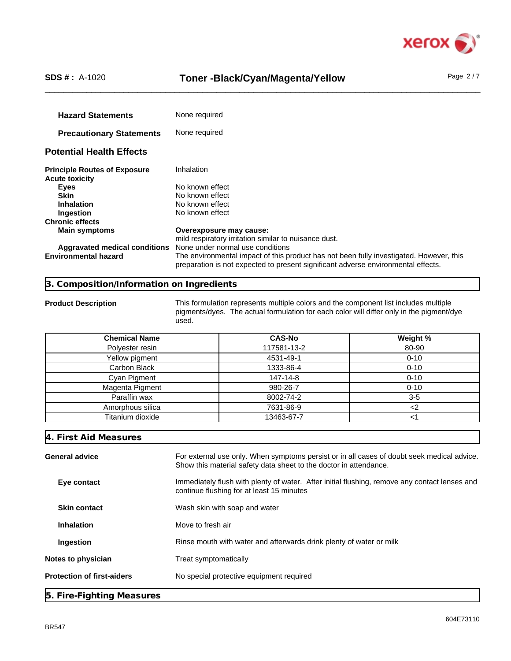

# **Toner -Black/Cyan/Magenta/Yellow** Page 2/7

 $\_$  ,  $\_$  ,  $\_$  ,  $\_$  ,  $\_$  ,  $\_$  ,  $\_$  ,  $\_$  ,  $\_$  ,  $\_$  ,  $\_$  ,  $\_$  ,  $\_$  ,  $\_$  ,  $\_$  ,  $\_$  ,  $\_$  ,  $\_$  ,  $\_$  ,  $\_$  ,  $\_$  ,  $\_$  ,  $\_$  ,  $\_$  ,  $\_$  ,  $\_$  ,  $\_$  ,  $\_$  ,  $\_$  ,  $\_$  ,  $\_$  ,  $\_$  ,  $\_$  ,  $\_$  ,  $\_$  ,  $\_$  ,  $\_$  ,

| <b>Hazard Statements</b>            | None required                                                                                                                                                                |
|-------------------------------------|------------------------------------------------------------------------------------------------------------------------------------------------------------------------------|
| <b>Precautionary Statements</b>     | None required                                                                                                                                                                |
| <b>Potential Health Effects</b>     |                                                                                                                                                                              |
| <b>Principle Routes of Exposure</b> | Inhalation                                                                                                                                                                   |
| <b>Acute toxicity</b>               |                                                                                                                                                                              |
| Eyes                                | No known effect                                                                                                                                                              |
| <b>Skin</b>                         | No known effect                                                                                                                                                              |
| <b>Inhalation</b>                   | No known effect                                                                                                                                                              |
| Ingestion                           | No known effect                                                                                                                                                              |
| <b>Chronic effects</b>              |                                                                                                                                                                              |
| <b>Main symptoms</b>                | Overexposure may cause:                                                                                                                                                      |
|                                     | mild respiratory irritation similar to nuisance dust.                                                                                                                        |
| Aggravated medical conditions       | None under normal use conditions                                                                                                                                             |
| <b>Environmental hazard</b>         | The environmental impact of this product has not been fully investigated. However, this<br>preparation is not expected to present significant adverse environmental effects. |

### **3. Composition/Information on Ingredients**

**Product Description** This formulation represents multiple colors and the component list includes multiple pigments/dyes. The actual formulation for each color will differ only in the pigment/dye used.

| <b>Chemical Name</b> | <b>CAS-No</b> | Weight % |
|----------------------|---------------|----------|
| Polyester resin      | 117581-13-2   | 80-90    |
| Yellow pigment       | 4531-49-1     | $0 - 10$ |
| Carbon Black         | 1333-86-4     | $0 - 10$ |
| Cyan Pigment         | 147-14-8      | $0 - 10$ |
| Magenta Pigment      | 980-26-7      | $0 - 10$ |
| Paraffin wax         | 8002-74-2     | $3 - 5$  |
| Amorphous silica     | 7631-86-9     |          |
| Titanium dioxide     | 13463-67-7    |          |

#### **4. First Aid Measures**

| <b>General advice</b>             | For external use only. When symptoms persist or in all cases of doubt seek medical advice.<br>Show this material safety data sheet to the doctor in attendance. |  |
|-----------------------------------|-----------------------------------------------------------------------------------------------------------------------------------------------------------------|--|
| Eye contact                       | Immediately flush with plenty of water. After initial flushing, remove any contact lenses and<br>continue flushing for at least 15 minutes                      |  |
| <b>Skin contact</b>               | Wash skin with soap and water                                                                                                                                   |  |
| <b>Inhalation</b>                 | Move to fresh air                                                                                                                                               |  |
| Ingestion                         | Rinse mouth with water and afterwards drink plenty of water or milk                                                                                             |  |
| Notes to physician                | Treat symptomatically                                                                                                                                           |  |
| <b>Protection of first-aiders</b> | No special protective equipment required                                                                                                                        |  |
| 5. Fire-Fighting Measures         |                                                                                                                                                                 |  |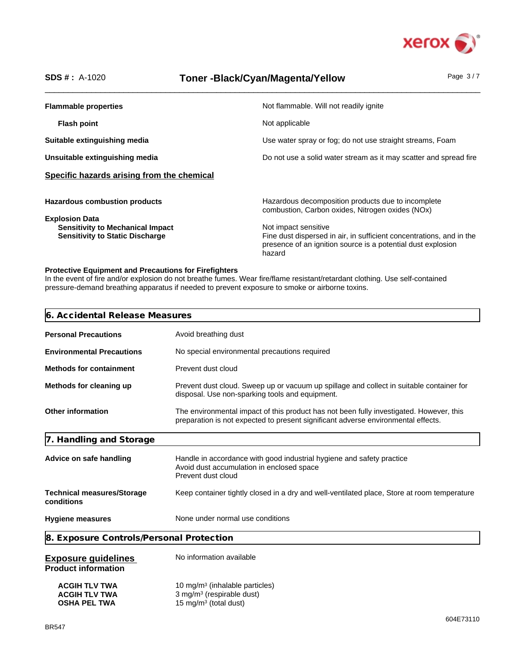

# **SDS # :** A-1020 **Toner -Black/Cyan/Magenta/Yellow**

 $\_$  ,  $\_$  ,  $\_$  ,  $\_$  ,  $\_$  ,  $\_$  ,  $\_$  ,  $\_$  ,  $\_$  ,  $\_$  ,  $\_$  ,  $\_$  ,  $\_$  ,  $\_$  ,  $\_$  ,  $\_$  ,  $\_$  ,  $\_$  ,  $\_$  ,  $\_$  ,  $\_$  ,  $\_$  ,  $\_$  ,  $\_$  ,  $\_$  ,  $\_$  ,  $\_$  ,  $\_$  ,  $\_$  ,  $\_$  ,  $\_$  ,  $\_$  ,  $\_$  ,  $\_$  ,  $\_$  ,  $\_$  ,  $\_$  ,

Page 3 / 7

| <b>Flammable properties</b>                                                                                | Not flammable. Will not readily ignite                                                                                                                                 |  |  |
|------------------------------------------------------------------------------------------------------------|------------------------------------------------------------------------------------------------------------------------------------------------------------------------|--|--|
| <b>Flash point</b>                                                                                         | Not applicable                                                                                                                                                         |  |  |
| Suitable extinguishing media                                                                               | Use water spray or fog; do not use straight streams, Foam                                                                                                              |  |  |
| Unsuitable extinguishing media                                                                             | Do not use a solid water stream as it may scatter and spread fire                                                                                                      |  |  |
| Specific hazards arising from the chemical                                                                 |                                                                                                                                                                        |  |  |
| <b>Hazardous combustion products</b>                                                                       | Hazardous decomposition products due to incomplete<br>combustion, Carbon oxides, Nitrogen oxides (NOx)                                                                 |  |  |
| <b>Explosion Data</b><br><b>Sensitivity to Mechanical Impact</b><br><b>Sensitivity to Static Discharge</b> | Not impact sensitive<br>Fine dust dispersed in air, in sufficient concentrations, and in the<br>presence of an ignition source is a potential dust explosion<br>hazard |  |  |
|                                                                                                            |                                                                                                                                                                        |  |  |

#### **Protective Equipment and Precautions for Firefighters**

In the event of fire and/or explosion do not breathe fumes. Wear fire/flame resistant/retardant clothing. Use self-contained pressure-demand breathing apparatus if needed to prevent exposure to smoke or airborne toxins.

| 6. Accidental Release Measures                                                                                                                                                                           |                                                                                                                                             |  |  |  |
|----------------------------------------------------------------------------------------------------------------------------------------------------------------------------------------------------------|---------------------------------------------------------------------------------------------------------------------------------------------|--|--|--|
| <b>Personal Precautions</b>                                                                                                                                                                              | Avoid breathing dust                                                                                                                        |  |  |  |
| <b>Environmental Precautions</b>                                                                                                                                                                         | No special environmental precautions required                                                                                               |  |  |  |
| <b>Methods for containment</b>                                                                                                                                                                           | Prevent dust cloud                                                                                                                          |  |  |  |
| Methods for cleaning up                                                                                                                                                                                  | Prevent dust cloud. Sweep up or vacuum up spillage and collect in suitable container for<br>disposal. Use non-sparking tools and equipment. |  |  |  |
| <b>Other information</b><br>The environmental impact of this product has not been fully investigated. However, this<br>preparation is not expected to present significant adverse environmental effects. |                                                                                                                                             |  |  |  |
| 7. Handling and Storage                                                                                                                                                                                  |                                                                                                                                             |  |  |  |
| Advice on safe handling                                                                                                                                                                                  | Handle in accordance with good industrial hygiene and safety practice<br>Avoid dust accumulation in enclosed space<br>Prevent dust cloud    |  |  |  |
| <b>Technical measures/Storage</b><br>conditions                                                                                                                                                          | Keep container tightly closed in a dry and well-ventilated place, Store at room temperature                                                 |  |  |  |
| <b>Hygiene measures</b>                                                                                                                                                                                  | None under normal use conditions                                                                                                            |  |  |  |
| 8. Exposure Controls/Personal Protection                                                                                                                                                                 |                                                                                                                                             |  |  |  |
| <b>Exposure guidelines</b><br><b>Product information</b>                                                                                                                                                 | No information available                                                                                                                    |  |  |  |
| <b>ACGIH TLV TWA</b><br><b>ACGIH TLV TWA</b><br><b>OSHA PEL TWA</b>                                                                                                                                      | 10 mg/m <sup>3</sup> (inhalable particles)<br>3 mg/m <sup>3</sup> (respirable dust)<br>15 mg/m <sup>3</sup> (total dust)                    |  |  |  |
|                                                                                                                                                                                                          |                                                                                                                                             |  |  |  |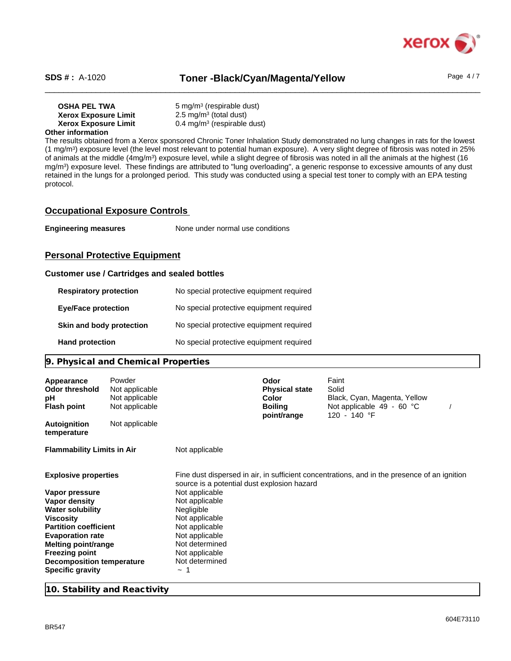

### **Toner -Black/Cyan/Magenta/Yellow**

 $\_$  ,  $\_$  ,  $\_$  ,  $\_$  ,  $\_$  ,  $\_$  ,  $\_$  ,  $\_$  ,  $\_$  ,  $\_$  ,  $\_$  ,  $\_$  ,  $\_$  ,  $\_$  ,  $\_$  ,  $\_$  ,  $\_$  ,  $\_$  ,  $\_$  ,  $\_$  ,  $\_$  ,  $\_$  ,  $\_$  ,  $\_$  ,  $\_$  ,  $\_$  ,  $\_$  ,  $\_$  ,  $\_$  ,  $\_$  ,  $\_$  ,  $\_$  ,  $\_$  ,  $\_$  ,  $\_$  ,  $\_$  ,  $\_$  ,

| <b>OSHA PEL TWA</b>         | 5 mg/m <sup>3</sup> (respirable dust)  |
|-----------------------------|----------------------------------------|
| <b>Xerox Exposure Limit</b> | $2.5 \text{ mg/m}^3$ (total dust)      |
| <b>Xerox Exposure Limit</b> | $0.4 \text{ mg/m}^3$ (respirable dust) |
| her information.            |                                        |

#### **Other information**

The results obtained from a Xerox sponsored Chronic Toner Inhalation Study demonstrated no lung changes in rats for the lowest (1 mg/m<sup>3</sup> ) exposure level (the level most relevant to potential human exposure). A very slight degree of fibrosis was noted in 25% of animals at the middle (4mg/m<sup>3</sup>) exposure level, while a slight degree of fibrosis was noted in all the animals at the highest (16 mg/m<sup>3</sup> ) exposure level. These findings are attributed to "lung overloading", a generic response to excessive amounts of any dust retained in the lungs for a prolonged period. This study was conducted using a special test toner to comply with an EPA testing protocol.

#### **Occupational Exposure Controls**

**Engineering measures** None under normal use conditions

#### **Personal Protective Equipment**

#### **Customer use / Cartridges and sealed bottles**

| <b>Respiratory protection</b> | No special protective equipment required |
|-------------------------------|------------------------------------------|
| <b>Eye/Face protection</b>    | No special protective equipment required |
| Skin and body protection      | No special protective equipment required |
| <b>Hand protection</b>        | No special protective equipment required |

#### **9. Physical and Chemical Properties**

| Appearance<br>Odor threshold<br>рH<br><b>Flash point</b> | Powder<br>Not applicable<br>Not applicable<br>Not applicable |                                             | Odor<br><b>Physical state</b><br>Color<br><b>Boiling</b><br>point/range | Faint<br>Solid<br>Black, Cyan, Magenta, Yellow<br>Not applicable $49 - 60$ °C<br>120 - 140 °F |  |  |
|----------------------------------------------------------|--------------------------------------------------------------|---------------------------------------------|-------------------------------------------------------------------------|-----------------------------------------------------------------------------------------------|--|--|
| <b>Autoignition</b><br>temperature                       | Not applicable                                               |                                             |                                                                         |                                                                                               |  |  |
| <b>Flammability Limits in Air</b>                        |                                                              | Not applicable                              |                                                                         |                                                                                               |  |  |
| <b>Explosive properties</b>                              |                                                              | source is a potential dust explosion hazard |                                                                         | Fine dust dispersed in air, in sufficient concentrations, and in the presence of an ignition  |  |  |
| Vapor pressure                                           |                                                              | Not applicable                              |                                                                         |                                                                                               |  |  |
| Vapor density                                            |                                                              | Not applicable                              |                                                                         |                                                                                               |  |  |
| <b>Water solubility</b>                                  |                                                              | Negligible                                  |                                                                         |                                                                                               |  |  |
| <b>Viscosity</b>                                         |                                                              | Not applicable                              |                                                                         |                                                                                               |  |  |
| <b>Partition coefficient</b>                             |                                                              | Not applicable                              |                                                                         |                                                                                               |  |  |
| <b>Evaporation rate</b>                                  |                                                              | Not applicable                              |                                                                         |                                                                                               |  |  |
| <b>Melting point/range</b>                               |                                                              | Not determined                              |                                                                         |                                                                                               |  |  |
| <b>Freezing point</b>                                    |                                                              | Not applicable                              |                                                                         |                                                                                               |  |  |
| <b>Decomposition temperature</b>                         |                                                              | Not determined                              |                                                                         |                                                                                               |  |  |
| <b>Specific gravity</b>                                  |                                                              | $\sim$ 1                                    |                                                                         |                                                                                               |  |  |
|                                                          |                                                              |                                             |                                                                         |                                                                                               |  |  |

**10. Stability and Reactivity**

Page 4 / 7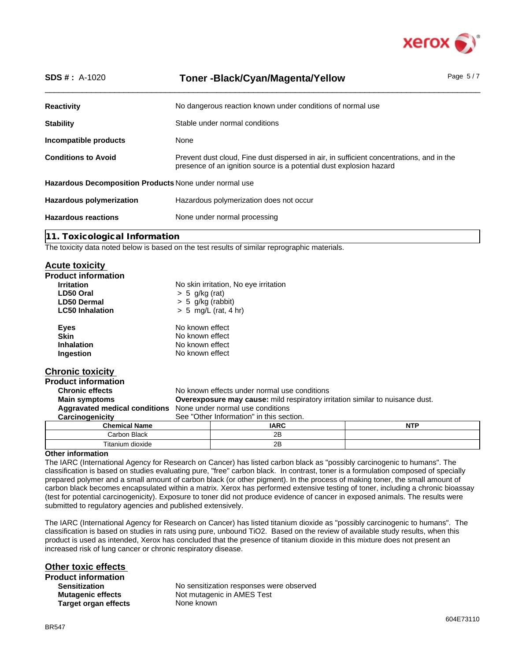

## **SDS # :** A-1020 **Toner -Black/Cyan/Magenta/Yellow**

 $\_$  ,  $\_$  ,  $\_$  ,  $\_$  ,  $\_$  ,  $\_$  ,  $\_$  ,  $\_$  ,  $\_$  ,  $\_$  ,  $\_$  ,  $\_$  ,  $\_$  ,  $\_$  ,  $\_$  ,  $\_$  ,  $\_$  ,  $\_$  ,  $\_$  ,  $\_$  ,  $\_$  ,  $\_$  ,  $\_$  ,  $\_$  ,  $\_$  ,  $\_$  ,  $\_$  ,  $\_$  ,  $\_$  ,  $\_$  ,  $\_$  ,  $\_$  ,  $\_$  ,  $\_$  ,  $\_$  ,  $\_$  ,  $\_$  ,

| <b>Reactivity</b>                                      | No dangerous reaction known under conditions of normal use                                                                                                      |  |
|--------------------------------------------------------|-----------------------------------------------------------------------------------------------------------------------------------------------------------------|--|
| <b>Stability</b>                                       | Stable under normal conditions                                                                                                                                  |  |
| Incompatible products                                  | None                                                                                                                                                            |  |
| <b>Conditions to Avoid</b>                             | Prevent dust cloud, Fine dust dispersed in air, in sufficient concentrations, and in the<br>presence of an ignition source is a potential dust explosion hazard |  |
| Hazardous Decomposition Products None under normal use |                                                                                                                                                                 |  |
| <b>Hazardous polymerization</b>                        | Hazardous polymerization does not occur                                                                                                                         |  |
| <b>Hazardous reactions</b>                             | None under normal processing                                                                                                                                    |  |
|                                                        |                                                                                                                                                                 |  |

**11. Toxicological Information**

The toxicity data noted below is based on the test results of similar reprographic materials.

### **Acute toxicity**

| <b>Product information</b> |                                                           |  |  |
|----------------------------|-----------------------------------------------------------|--|--|
| <b>Irritation</b>          | No skin irritation, No eye irritation<br>$> 5$ g/kg (rat) |  |  |
| LD50 Oral                  |                                                           |  |  |
| <b>LD50 Dermal</b>         | $> 5$ g/kg (rabbit)                                       |  |  |
| <b>LC50 Inhalation</b>     | $> 5$ mg/L (rat, 4 hr)                                    |  |  |
| Eyes                       | No known effect                                           |  |  |
| <b>Skin</b>                | No known effect                                           |  |  |
| <b>Inhalation</b>          | No known effect                                           |  |  |
| Ingestion                  | No known effect                                           |  |  |
|                            |                                                           |  |  |

#### **Chronic toxicity**

| <b>Product information</b>    |                                              |                                                                                      |            |  |  |  |
|-------------------------------|----------------------------------------------|--------------------------------------------------------------------------------------|------------|--|--|--|
| <b>Chronic effects</b>        | No known effects under normal use conditions |                                                                                      |            |  |  |  |
| <b>Main symptoms</b>          |                                              | <b>Overexposure may cause:</b> mild respiratory irritation similar to nuisance dust. |            |  |  |  |
| Aggravated medical conditions | None under normal use conditions             |                                                                                      |            |  |  |  |
| Carcinogenicity               | See "Other Information" in this section.     |                                                                                      |            |  |  |  |
| <b>Chemical Name</b>          |                                              | <b>IARC</b>                                                                          | <b>NTP</b> |  |  |  |

Carbon Black 2B Titanium dioxide 2B

#### **Other information**

The IARC (International Agency for Research on Cancer) has listed carbon black as "possibly carcinogenic to humans". The classification is based on studies evaluating pure, "free" carbon black. In contrast, toner is a formulation composed of specially prepared polymer and a small amount of carbon black (or other pigment). In the process of making toner, the small amount of carbon black becomes encapsulated within a matrix. Xerox has performed extensive testing of toner, including a chronic bioassay (test for potential carcinogenicity). Exposure to toner did not produce evidence of cancer in exposed animals. The results were submitted to regulatory agencies and published extensively.

The IARC (International Agency for Research on Cancer) has listed titanium dioxide as "possibly carcinogenic to humans". The classification is based on studies in rats using pure, unbound TiO2. Based on the review of available study results, when this product is used as intended, Xerox has concluded that the presence of titanium dioxide in this mixture does not present an increased risk of lung cancer or chronic respiratory disease.

**Other toxic effects Product information Sensitization** Mo sensitization responses were observed **Mutagenic effects** Not mutagenic in AMES Test **Target organ effects** None known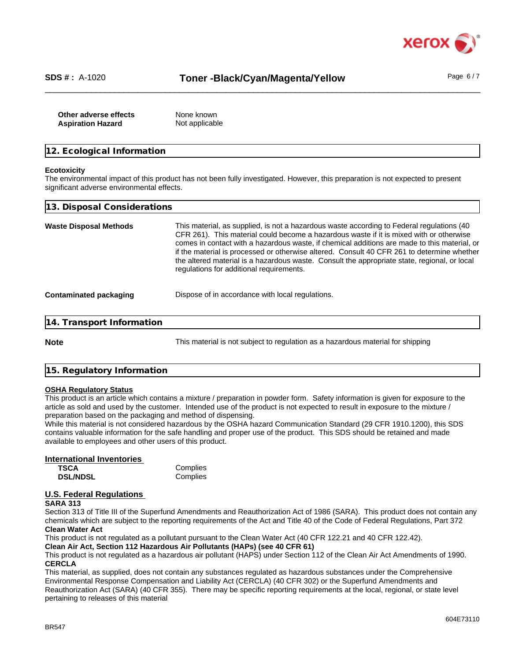

 $\_$  ,  $\_$  ,  $\_$  ,  $\_$  ,  $\_$  ,  $\_$  ,  $\_$  ,  $\_$  ,  $\_$  ,  $\_$  ,  $\_$  ,  $\_$  ,  $\_$  ,  $\_$  ,  $\_$  ,  $\_$  ,  $\_$  ,  $\_$  ,  $\_$  ,  $\_$  ,  $\_$  ,  $\_$  ,  $\_$  ,  $\_$  ,  $\_$  ,  $\_$  ,  $\_$  ,  $\_$  ,  $\_$  ,  $\_$  ,  $\_$  ,  $\_$  ,  $\_$  ,  $\_$  ,  $\_$  ,  $\_$  ,  $\_$  ,

| Other adverse effects    | None known     |
|--------------------------|----------------|
| <b>Aspiration Hazard</b> | Not applicable |

| 12. Ecological Information |  |  |
|----------------------------|--|--|
|----------------------------|--|--|

#### **Ecotoxicity**

The environmental impact of this product has not been fully investigated. However, this preparation is not expected to present significant adverse environmental effects.

| 13. Disposal Considerations   |                                                                                                                                                                                                                                                                                                                                                                                                                                                                                                                                 |  |
|-------------------------------|---------------------------------------------------------------------------------------------------------------------------------------------------------------------------------------------------------------------------------------------------------------------------------------------------------------------------------------------------------------------------------------------------------------------------------------------------------------------------------------------------------------------------------|--|
| <b>Waste Disposal Methods</b> | This material, as supplied, is not a hazardous waste according to Federal regulations (40)<br>CFR 261). This material could become a hazardous waste if it is mixed with or otherwise<br>comes in contact with a hazardous waste, if chemical additions are made to this material, or<br>if the material is processed or otherwise altered. Consult 40 CFR 261 to determine whether<br>the altered material is a hazardous waste. Consult the appropriate state, regional, or local<br>regulations for additional requirements. |  |
| Contaminated packaging        | Dispose of in accordance with local regulations.                                                                                                                                                                                                                                                                                                                                                                                                                                                                                |  |
| 14. Transport Information     |                                                                                                                                                                                                                                                                                                                                                                                                                                                                                                                                 |  |
| <b>NALA</b>                   | This material is not subject to requistion as a hazardous material for shipping                                                                                                                                                                                                                                                                                                                                                                                                                                                 |  |

**Note This material is not subject to regulation** as a hazardous material for shipping

| 15. Regulatory Information |  |
|----------------------------|--|
|                            |  |

#### **OSHA Regulatory Status**

This product is an article which contains a mixture / preparation in powder form. Safety information is given for exposure to the article as sold and used by the customer. Intended use of the product is not expected to result in exposure to the mixture / preparation based on the packaging and method of dispensing.

While this material is not considered hazardous by the OSHA hazard Communication Standard (29 CFR 1910.1200), this SDS contains valuable information for the safe handling and proper use of the product. This SDS should be retained and made available to employees and other users of this product.

#### **International Inventories**

| TSCA            | Complies |
|-----------------|----------|
| <b>DSL/NDSL</b> | Complies |

# **U.S. Federal Regulations**

**SARA 313** Section 313 of Title III of the Superfund Amendments and Reauthorization Act of 1986 (SARA). This product does not contain any chemicals which are subject to the reporting requirements of the Act and Title 40 of the Code of Federal Regulations, Part 372

#### **Clean Water Act**

This product is not regulated as a pollutant pursuant to the Clean Water Act (40 CFR 122.21 and 40 CFR 122.42).

**Clean Air Act, Section 112 Hazardous Air Pollutants (HAPs) (see 40 CFR 61)**

This product is not regulated as a hazardous air pollutant (HAPS) under Section 112 of the Clean Air Act Amendments of 1990. **CERCLA**

This material, as supplied, does not contain any substances regulated as hazardous substances under the Comprehensive Environmental Response Compensation and Liability Act (CERCLA) (40 CFR 302) or the Superfund Amendments and Reauthorization Act (SARA) (40 CFR 355). There may be specific reporting requirements at the local, regional, or state level pertaining to releases of this material